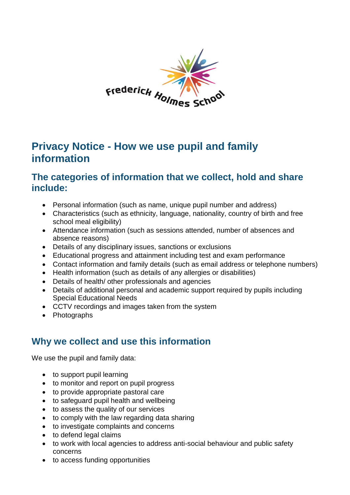

# **Privacy Notice - How we use pupil and family information**

#### **The categories of information that we collect, hold and share include:**

- Personal information (such as name, unique pupil number and address)
- Characteristics (such as ethnicity, language, nationality, country of birth and free school meal eligibility)
- Attendance information (such as sessions attended, number of absences and absence reasons)
- Details of any disciplinary issues, sanctions or exclusions
- Educational progress and attainment including test and exam performance
- Contact information and family details (such as email address or telephone numbers)
- Health information (such as details of any allergies or disabilities)
- Details of health/ other professionals and agencies
- Details of additional personal and academic support required by pupils including Special Educational Needs
- CCTV recordings and images taken from the system
- Photographs

#### **Why we collect and use this information**

We use the pupil and family data:

- to support pupil learning
- to monitor and report on pupil progress
- to provide appropriate pastoral care
- to safeguard pupil health and wellbeing
- to assess the quality of our services
- to comply with the law regarding data sharing
- to investigate complaints and concerns
- to defend legal claims
- to work with local agencies to address anti-social behaviour and public safety concerns
- to access funding opportunities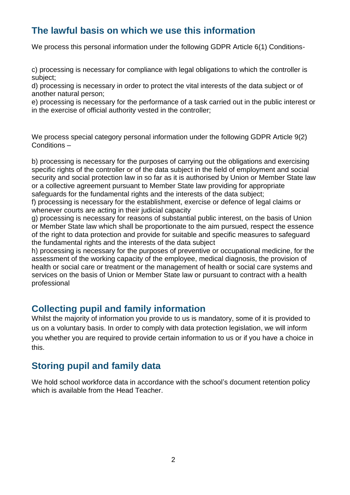## **The lawful basis on which we use this information**

We process this personal information under the following GDPR Article 6(1) Conditions-

c) processing is necessary for compliance with legal obligations to which the controller is subject;

d) processing is necessary in order to protect the vital interests of the data subject or of another natural person;

e) processing is necessary for the performance of a task carried out in the public interest or in the exercise of official authority vested in the controller;

We process special category personal information under the following GDPR Article 9(2) Conditions –

b) processing is necessary for the purposes of carrying out the obligations and exercising specific rights of the controller or of the data subject in the field of employment and social security and social protection law in so far as it is authorised by Union or Member State law or a collective agreement pursuant to Member State law providing for appropriate safeguards for the fundamental rights and the interests of the data subject;

f) processing is necessary for the establishment, exercise or defence of legal claims or whenever courts are acting in their judicial capacity

g) processing is necessary for reasons of substantial public interest, on the basis of Union or Member State law which shall be proportionate to the aim pursued, respect the essence of the right to data protection and provide for suitable and specific measures to safeguard the fundamental rights and the interests of the data subject

h) processing is necessary for the purposes of preventive or occupational medicine, for the assessment of the working capacity of the employee, medical diagnosis, the provision of health or social care or treatment or the management of health or social care systems and services on the basis of Union or Member State law or pursuant to contract with a health professional

### **Collecting pupil and family information**

Whilst the majority of information you provide to us is mandatory, some of it is provided to us on a voluntary basis. In order to comply with data protection legislation, we will inform you whether you are required to provide certain information to us or if you have a choice in this.

## **Storing pupil and family data**

We hold school workforce data in accordance with the school's document retention policy which is available from the Head Teacher.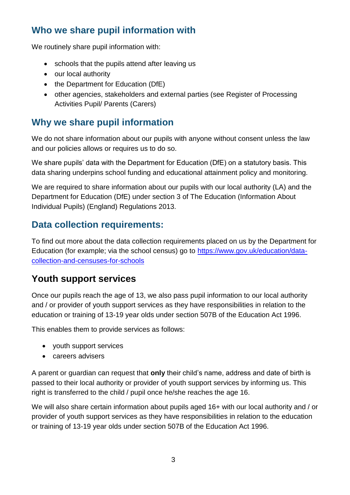## **Who we share pupil information with**

We routinely share pupil information with:

- schools that the pupils attend after leaving us
- our local authority
- $\bullet$  the Department for Education (DfE)
- other agencies, stakeholders and external parties (see Register of Processing Activities Pupil/ Parents (Carers)

### **Why we share pupil information**

We do not share information about our pupils with anyone without consent unless the law and our policies allows or requires us to do so.

We share pupils' data with the Department for Education (DfE) on a statutory basis. This data sharing underpins school funding and educational attainment policy and monitoring.

We are required to share information about our pupils with our local authority (LA) and the Department for Education (DfE) under section 3 of The Education (Information About Individual Pupils) (England) Regulations 2013.

## **Data collection requirements:**

To find out more about the data collection requirements placed on us by the Department for Education (for example; via the school census) go to [https://www.gov.uk/education/data](https://www.gov.uk/education/data-collection-and-censuses-for-schools)[collection-and-censuses-for-schools](https://www.gov.uk/education/data-collection-and-censuses-for-schools)

### **Youth support services**

Once our pupils reach the age of 13, we also pass pupil information to our local authority and / or provider of youth support services as they have responsibilities in relation to the education or training of 13-19 year olds under section 507B of the Education Act 1996.

This enables them to provide services as follows:

- youth support services
- careers advisers

A parent or guardian can request that **only** their child's name, address and date of birth is passed to their local authority or provider of youth support services by informing us. This right is transferred to the child / pupil once he/she reaches the age 16.

We will also share certain information about pupils aged 16+ with our local authority and / or provider of youth support services as they have responsibilities in relation to the education or training of 13-19 year olds under section 507B of the Education Act 1996.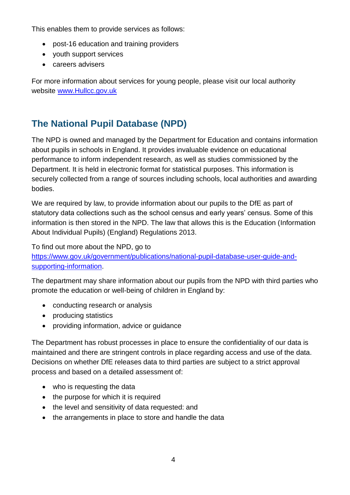This enables them to provide services as follows:

- post-16 education and training providers
- youth support services
- careers advisers

For more information about services for young people, please visit our local authority website [www.Hullcc.gov.uk](http://www.hullcc.gov.uk/)

## **The National Pupil Database (NPD)**

The NPD is owned and managed by the Department for Education and contains information about pupils in schools in England. It provides invaluable evidence on educational performance to inform independent research, as well as studies commissioned by the Department. It is held in electronic format for statistical purposes. This information is securely collected from a range of sources including schools, local authorities and awarding bodies.

We are required by law, to provide information about our pupils to the DfE as part of statutory data collections such as the school census and early years' census. Some of this information is then stored in the NPD. The law that allows this is the Education (Information About Individual Pupils) (England) Regulations 2013.

To find out more about the NPD, go to [https://www.gov.uk/government/publications/national-pupil-database-user-guide-and](https://www.gov.uk/government/publications/national-pupil-database-user-guide-and-supporting-information)[supporting-information.](https://www.gov.uk/government/publications/national-pupil-database-user-guide-and-supporting-information)

The department may share information about our pupils from the NPD with third parties who promote the education or well-being of children in England by:

- conducting research or analysis
- producing statistics
- providing information, advice or guidance

The Department has robust processes in place to ensure the confidentiality of our data is maintained and there are stringent controls in place regarding access and use of the data. Decisions on whether DfE releases data to third parties are subject to a strict approval process and based on a detailed assessment of:

- who is requesting the data
- the purpose for which it is required
- the level and sensitivity of data requested: and
- the arrangements in place to store and handle the data